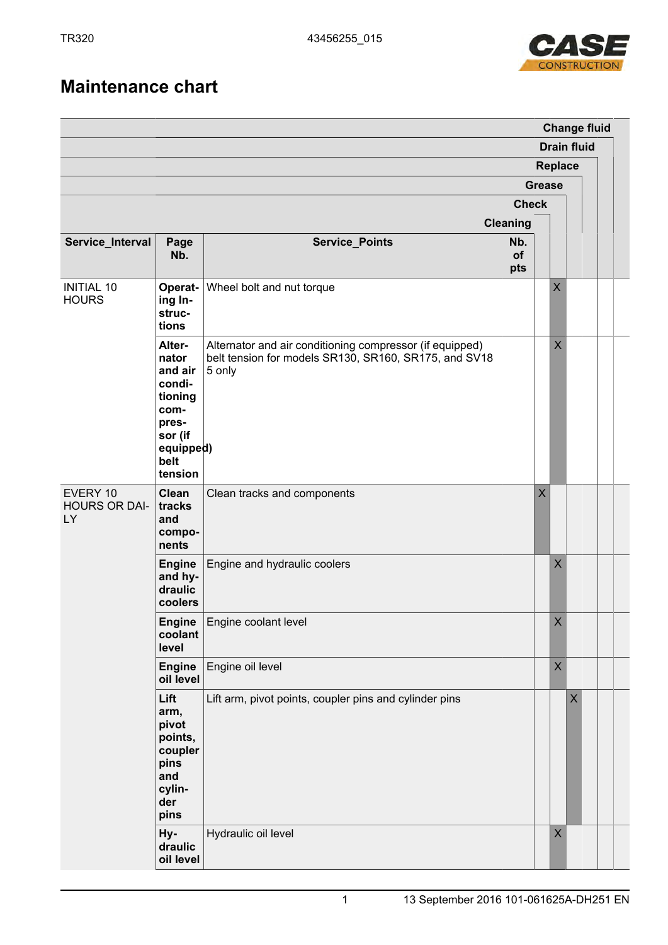

## **Maintenance chart**

|                                        |                                                                                                             |                                                                                                                             |                  |                         |             |   |  | <b>Change fluid</b> |
|----------------------------------------|-------------------------------------------------------------------------------------------------------------|-----------------------------------------------------------------------------------------------------------------------------|------------------|-------------------------|-------------|---|--|---------------------|
|                                        | <b>Drain fluid</b><br>Replace                                                                               |                                                                                                                             |                  |                         |             |   |  |                     |
|                                        |                                                                                                             |                                                                                                                             |                  |                         |             |   |  |                     |
|                                        | <b>Grease</b>                                                                                               |                                                                                                                             |                  |                         |             |   |  |                     |
|                                        |                                                                                                             |                                                                                                                             | <b>Check</b>     |                         |             |   |  |                     |
|                                        |                                                                                                             |                                                                                                                             | <b>Cleaning</b>  |                         |             |   |  |                     |
| Service_Interval                       | Page<br>Nb.                                                                                                 | <b>Service_Points</b>                                                                                                       | Nb.<br>of<br>pts |                         |             |   |  |                     |
| <b>INITIAL 10</b><br><b>HOURS</b>      | Operat-<br>ing In-<br>struc-<br>tions                                                                       | Wheel bolt and nut torque                                                                                                   |                  |                         | $\sf X$     |   |  |                     |
|                                        | Alter-<br>nator<br>and air<br>condi-<br>tioning<br>com-<br>pres-<br>sor (if<br>equipped)<br>belt<br>tension | Alternator and air conditioning compressor (if equipped)<br>belt tension for models SR130, SR160, SR175, and SV18<br>5 only |                  |                         | $\sf X$     |   |  |                     |
| EVERY 10<br><b>HOURS OR DAI-</b><br>LY | <b>Clean</b><br>tracks<br>and<br>compo-<br>nents                                                            | Clean tracks and components                                                                                                 |                  | $\overline{\mathsf{X}}$ |             |   |  |                     |
|                                        | <b>Engine</b><br>and hy-<br>draulic<br>coolers                                                              | Engine and hydraulic coolers                                                                                                |                  |                         | $\sf X$     |   |  |                     |
|                                        | <b>Engine</b><br>coolant<br>level                                                                           | Engine coolant level                                                                                                        |                  |                         | $\mathsf X$ |   |  |                     |
|                                        | <b>Engine</b><br>oil level                                                                                  | Engine oil level                                                                                                            |                  |                         | $\mathsf X$ |   |  |                     |
|                                        | Lift<br>arm,<br>pivot<br>points,<br>coupler<br>pins<br>and<br>cylin-<br>der<br>pins                         | Lift arm, pivot points, coupler pins and cylinder pins                                                                      |                  |                         |             | X |  |                     |
|                                        | Hy-<br>draulic<br>oil level                                                                                 | Hydraulic oil level                                                                                                         |                  |                         | $\mathsf X$ |   |  |                     |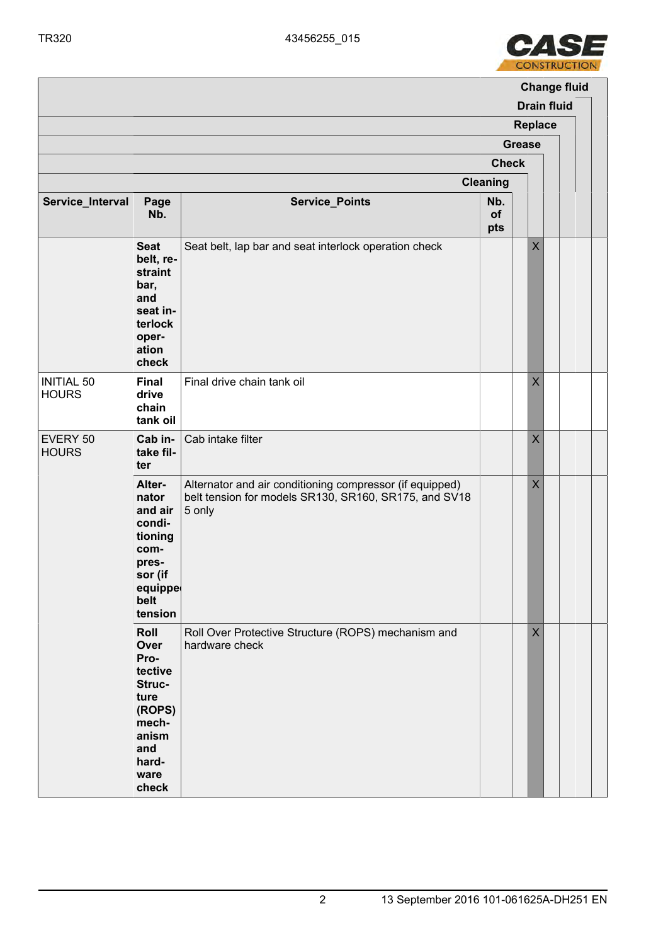

|                                   |                                                                                                                |                                                                                                                             |                  |                |                    | <b>Change fluid</b> |
|-----------------------------------|----------------------------------------------------------------------------------------------------------------|-----------------------------------------------------------------------------------------------------------------------------|------------------|----------------|--------------------|---------------------|
|                                   |                                                                                                                |                                                                                                                             |                  |                | <b>Drain fluid</b> |                     |
|                                   |                                                                                                                |                                                                                                                             | <b>Replace</b>   |                |                    |                     |
|                                   | <b>Grease</b><br><b>Check</b>                                                                                  |                                                                                                                             |                  |                |                    |                     |
|                                   |                                                                                                                |                                                                                                                             |                  |                |                    |                     |
|                                   |                                                                                                                |                                                                                                                             | <b>Cleaning</b>  |                |                    |                     |
| Service_Interval                  | Page<br>Nb.                                                                                                    | <b>Service_Points</b>                                                                                                       | Nb.<br>of<br>pts |                |                    |                     |
|                                   | <b>Seat</b><br>belt, re-<br>straint<br>bar,<br>and<br>seat in-<br>terlock<br>oper-<br>ation<br>check           | Seat belt, lap bar and seat interlock operation check                                                                       |                  | $\mathsf X$    |                    |                     |
| <b>INITIAL 50</b><br><b>HOURS</b> | Final<br>drive<br>chain<br>tank oil                                                                            | Final drive chain tank oil                                                                                                  |                  | $\times$       |                    |                     |
| EVERY 50<br><b>HOURS</b>          | Cab in-<br>take fil-<br>ter                                                                                    | Cab intake filter                                                                                                           |                  | $\pmb{\times}$ |                    |                     |
|                                   | Alter-<br>nator<br>and air<br>condi-<br>tioning<br>com-<br>pres-<br>sor (if<br>equippe<br>belt<br>tension      | Alternator and air conditioning compressor (if equipped)<br>belt tension for models SR130, SR160, SR175, and SV18<br>5 only |                  | $\sf X$        |                    |                     |
|                                   | Roll<br>Over<br>Pro-<br>tective<br>Struc-<br>ture<br>(ROPS)<br>mech-<br>anism<br>and<br>hard-<br>ware<br>check | Roll Over Protective Structure (ROPS) mechanism and<br>hardware check                                                       |                  | $\times$       |                    |                     |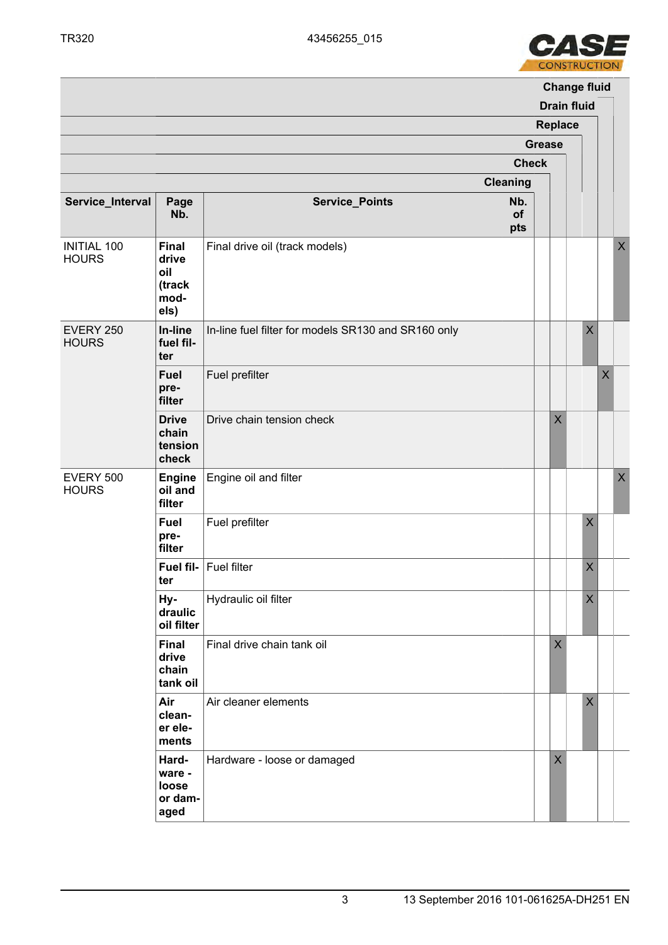

|                                    |                                                        | <b>Change fluid</b>                                 |                               |                         |  |             |                    |         |  |  |  |
|------------------------------------|--------------------------------------------------------|-----------------------------------------------------|-------------------------------|-------------------------|--|-------------|--------------------|---------|--|--|--|
|                                    |                                                        |                                                     | <b>Drain fluid</b><br>Replace |                         |  |             |                    |         |  |  |  |
|                                    |                                                        |                                                     | <b>Grease</b>                 |                         |  |             |                    |         |  |  |  |
|                                    |                                                        |                                                     | <b>Check</b>                  |                         |  |             |                    |         |  |  |  |
|                                    |                                                        |                                                     |                               |                         |  |             |                    |         |  |  |  |
|                                    |                                                        |                                                     | <b>Cleaning</b>               |                         |  |             |                    |         |  |  |  |
| Service_Interval                   | Page<br>Nb.                                            | <b>Service_Points</b>                               | Nb.<br>of<br>pts              |                         |  |             |                    |         |  |  |  |
| <b>INITIAL 100</b><br><b>HOURS</b> | <b>Final</b><br>drive<br>oil<br>(track<br>mod-<br>els) | Final drive oil (track models)                      |                               |                         |  |             |                    | $\sf X$ |  |  |  |
| EVERY 250<br><b>HOURS</b>          | In-line<br>fuel fil-<br>ter                            | In-line fuel filter for models SR130 and SR160 only |                               |                         |  | $\sf X$     |                    |         |  |  |  |
|                                    | Fuel<br>pre-<br>filter                                 | Fuel prefilter                                      |                               |                         |  |             | $\pmb{\mathsf{X}}$ |         |  |  |  |
|                                    | <b>Drive</b><br>chain<br>tension<br>check              | Drive chain tension check                           |                               | X                       |  |             |                    |         |  |  |  |
| EVERY 500<br><b>HOURS</b>          | <b>Engine</b><br>oil and<br>filter                     | Engine oil and filter                               |                               |                         |  |             |                    | $\sf X$ |  |  |  |
|                                    | <b>Fuel</b><br>pre-<br>filter                          | Fuel prefilter                                      |                               |                         |  | $\sf X$     |                    |         |  |  |  |
|                                    | ter                                                    | Fuel fil- Fuel filter                               |                               |                         |  | $\sf X$     |                    |         |  |  |  |
|                                    | Hy-<br>draulic<br>oil filter                           | Hydraulic oil filter                                |                               |                         |  | $\mathsf X$ |                    |         |  |  |  |
|                                    | Final<br>drive<br>chain<br>tank oil                    | Final drive chain tank oil                          |                               | $\overline{\mathsf{X}}$ |  |             |                    |         |  |  |  |
|                                    | Air<br>clean-<br>er ele-<br>ments                      | Air cleaner elements                                |                               |                         |  | $\sf X$     |                    |         |  |  |  |
|                                    | Hard-<br>ware -<br>loose<br>or dam-<br>aged            | Hardware - loose or damaged                         |                               | X                       |  |             |                    |         |  |  |  |